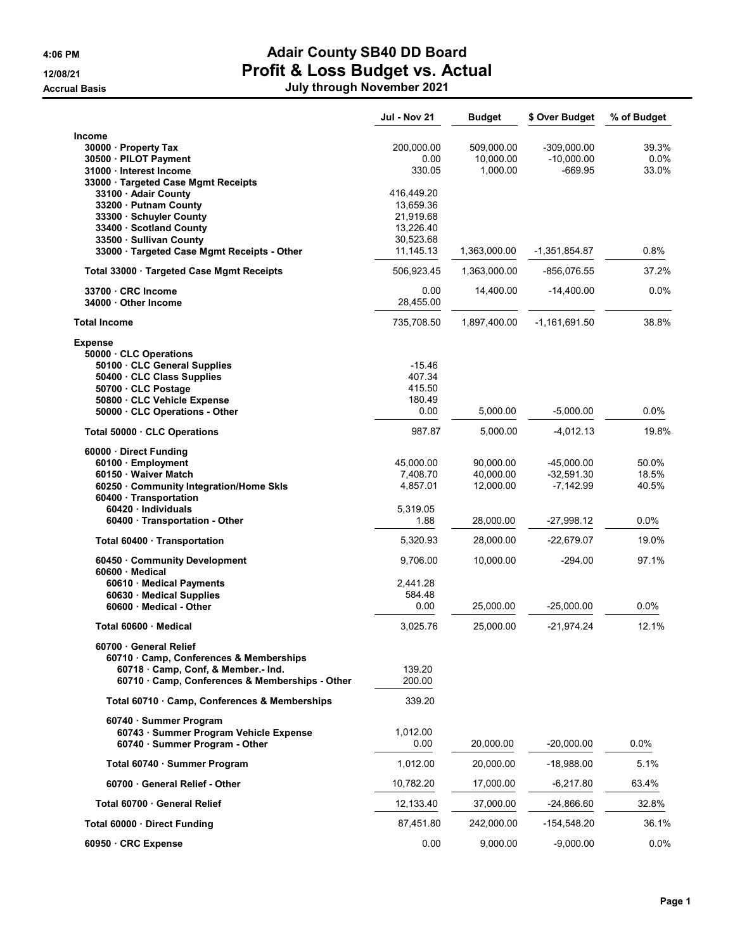Accrual Basis July through November 2021

## 4:06 PM Adair County SB40 DD Board 12/08/21 Profit & Loss Budget vs. Actual

|  |  | July through November 2021 |  |
|--|--|----------------------------|--|
|--|--|----------------------------|--|

|                                                             | Jul - Nov 21 | <b>Budget</b> | \$ Over Budget  | % of Budget |
|-------------------------------------------------------------|--------------|---------------|-----------------|-------------|
| Income                                                      |              |               |                 |             |
| 30000 · Property Tax                                        | 200,000.00   | 509,000.00    | $-309,000.00$   | 39.3%       |
| 30500 · PILOT Payment                                       | 0.00         | 10,000.00     | $-10,000.00$    | 0.0%        |
| 31000 · Interest Income                                     | 330.05       | 1,000.00      | -669.95         | 33.0%       |
| 33000 · Targeted Case Mgmt Receipts<br>33100 · Adair County | 416,449.20   |               |                 |             |
| 33200 Putnam County                                         | 13,659.36    |               |                 |             |
| 33300 Schuyler County                                       | 21,919.68    |               |                 |             |
| 33400 · Scotland County                                     | 13,226.40    |               |                 |             |
| 33500 · Sullivan County                                     | 30,523.68    |               |                 |             |
| 33000 · Targeted Case Mgmt Receipts - Other                 | 11,145.13    | 1,363,000.00  | $-1,351,854.87$ | $0.8\%$     |
| Total 33000 · Targeted Case Mgmt Receipts                   | 506,923.45   | 1,363,000.00  | -856,076.55     | 37.2%       |
| 33700 CRC Income                                            | 0.00         | 14,400.00     | $-14,400.00$    | 0.0%        |
| 34000 Other Income                                          | 28,455.00    |               |                 |             |
| <b>Total Income</b>                                         | 735,708.50   | 1,897,400.00  | $-1,161,691.50$ | 38.8%       |
| <b>Expense</b><br>50000 · CLC Operations                    |              |               |                 |             |
| 50100 CLC General Supplies                                  | $-15.46$     |               |                 |             |
| 50400 · CLC Class Supplies                                  | 407.34       |               |                 |             |
| 50700 · CLC Postage                                         | 415.50       |               |                 |             |
| 50800 · CLC Vehicle Expense                                 | 180.49       |               |                 |             |
| 50000 CLC Operations - Other                                | 0.00         | 5,000.00      | $-5,000.00$     | $0.0\%$     |
| Total 50000 · CLC Operations                                | 987.87       | 5,000.00      | $-4,012.13$     | 19.8%       |
| 60000 · Direct Funding                                      |              |               |                 |             |
| 60100 · Employment                                          | 45,000.00    | 90,000.00     | $-45,000.00$    | 50.0%       |
| 60150 · Waiver Match                                        | 7,408.70     | 40,000.00     | $-32,591.30$    | 18.5%       |
| 60250 Community Integration/Home Skls                       | 4,857.01     | 12,000.00     | -7,142.99       | 40.5%       |
| 60400 · Transportation<br>60420 Individuals                 | 5,319.05     |               |                 |             |
| 60400 · Transportation - Other                              | 1.88         | 28,000.00     | $-27,998.12$    | $0.0\%$     |
| Total 60400 · Transportation                                | 5,320.93     | 28,000.00     | $-22,679.07$    | 19.0%       |
| 60450 Community Development                                 | 9,706.00     | 10,000.00     | $-294.00$       | 97.1%       |
| 60600 · Medical<br>60610 · Medical Payments                 | 2,441.28     |               |                 |             |
| 60630 Medical Supplies                                      | 584.48       |               |                 |             |
| 60600 Medical - Other                                       | 0.00         | 25,000.00     | $-25,000.00$    | $0.0\%$     |
| Total 60600 Medical                                         | 3,025.76     | 25,000.00     | -21,974.24      | 12.1%       |
| 60700 General Relief                                        |              |               |                 |             |
| 60710 Camp, Conferences & Memberships                       |              |               |                 |             |
| 60718 Camp, Conf, & Member.- Ind.                           | 139.20       |               |                 |             |
| 60710 Camp, Conferences & Memberships - Other               | 200.00       |               |                 |             |
| Total 60710 · Camp, Conferences & Memberships               | 339.20       |               |                 |             |
| 60740 · Summer Program                                      |              |               |                 |             |
| 60743 · Summer Program Vehicle Expense                      | 1,012.00     |               |                 |             |
| 60740 · Summer Program - Other                              | 0.00         | 20,000.00     | $-20,000.00$    | 0.0%        |
| Total 60740 · Summer Program                                | 1,012.00     | 20,000.00     | $-18,988.00$    | 5.1%        |
| 60700 General Relief - Other                                | 10,782.20    | 17,000.00     | -6,217.80       | 63.4%       |
| Total 60700 General Relief                                  | 12,133.40    | 37,000.00     | -24,866.60      | 32.8%       |
| Total 60000 · Direct Funding                                | 87,451.80    | 242,000.00    | -154,548.20     | 36.1%       |
| 60950 · CRC Expense                                         | 0.00         | 9,000.00      | $-9,000.00$     | $0.0\%$     |
|                                                             |              |               |                 |             |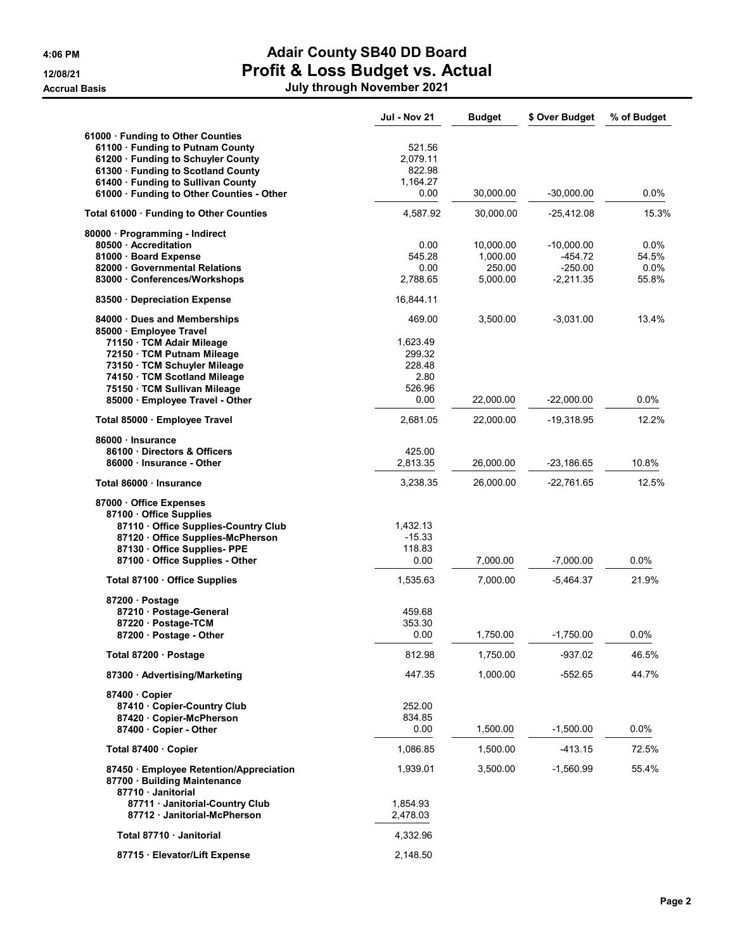| 4:06 PM             |
|---------------------|
| 12/08/21            |
| <b>Accrual Basi</b> |

## 4:06 PM **Adair County SB40 DD Board** 12/08/21 Profit & Loss Budget vs. Actual

| Accrual Basis | July through November 2021 |
|---------------|----------------------------|

|                                                                                           | Jul - Nov 21         | <b>Budget</b>      | \$ Over Budget         | % of Budget      |
|-------------------------------------------------------------------------------------------|----------------------|--------------------|------------------------|------------------|
| 61000 · Funding to Other Counties                                                         |                      |                    |                        |                  |
| 61100 · Funding to Putnam County                                                          | 521.56               |                    |                        |                  |
| 61200 · Funding to Schuyler County                                                        | 2,079.11             |                    |                        |                  |
| 61300 · Funding to Scotland County                                                        | 822.98               |                    |                        |                  |
| 61400 · Funding to Sullivan County                                                        | 1,164.27             |                    |                        |                  |
| 61000 · Funding to Other Counties - Other                                                 | 0.00                 | 30,000.00          | $-30,000.00$           | $0.0\%$          |
| Total 61000 · Funding to Other Counties                                                   | 4,587.92             | 30,000.00          | $-25,412.08$           | 15.3%            |
| 80000 · Programming - Indirect                                                            |                      |                    |                        |                  |
| 80500 Accreditation<br>81000 · Board Expense                                              | 0.00                 | 10,000.00          | $-10,000.00$           | $0.0\%$          |
| 82000 Governmental Relations                                                              | 545.28<br>0.00       | 1,000.00<br>250.00 | $-454.72$<br>$-250.00$ | 54.5%<br>$0.0\%$ |
| 83000 · Conferences/Workshops                                                             | 2,788.65             | 5,000.00           | $-2,211.35$            | 55.8%            |
| 83500 Depreciation Expense                                                                | 16,844.11            |                    |                        |                  |
| 84000 Dues and Memberships                                                                | 469.00               | 3,500.00           | $-3,031.00$            | 13.4%            |
| 85000 Employee Travel                                                                     |                      |                    |                        |                  |
| 71150 · TCM Adair Mileage                                                                 | 1,623.49             |                    |                        |                  |
| 72150 · TCM Putnam Mileage                                                                | 299.32               |                    |                        |                  |
| 73150 · TCM Schuyler Mileage                                                              | 228.48               |                    |                        |                  |
| 74150 · TCM Scotland Mileage                                                              | 2.80                 |                    |                        |                  |
| 75150 · TCM Sullivan Mileage                                                              | 526.96               |                    |                        |                  |
| 85000 · Employee Travel - Other                                                           | 0.00                 | 22,000.00          | $-22,000.00$           | 0.0%             |
| Total 85000 · Employee Travel                                                             | 2,681.05             | 22,000.00          | -19,318.95             | 12.2%            |
| 86000 · Insurance                                                                         |                      |                    |                        |                  |
| 86100 Directors & Officers                                                                | 425.00               |                    |                        |                  |
| 86000 Insurance - Other                                                                   | 2,813.35             | 26,000.00          | $-23,186.65$           | 10.8%            |
| Total 86000 · Insurance                                                                   | 3,238.35             | 26,000.00          | $-22,761.65$           | 12.5%            |
| 87000 Office Expenses                                                                     |                      |                    |                        |                  |
| 87100 Office Supplies                                                                     |                      |                    |                        |                  |
| 87110 Office Supplies-Country Club                                                        | 1,432.13             |                    |                        |                  |
| 87120 Office Supplies-McPherson                                                           | $-15.33$             |                    |                        |                  |
| 87130 Office Supplies- PPE                                                                | 118.83               |                    |                        |                  |
| 87100 Office Supplies - Other                                                             | 0.00                 | 7,000.00           | $-7,000.00$            | $0.0\%$          |
| Total 87100 · Office Supplies                                                             | 1,535.63             | 7.000.00           | $-5,464.37$            | 21.9%            |
| 87200 · Postage                                                                           |                      |                    |                        |                  |
| 87210 · Postage-General                                                                   | 459.68               |                    |                        |                  |
| 87220 · Postage-TCM                                                                       | 353.30               |                    |                        |                  |
| 87200 Postage - Other                                                                     | 0.00                 | 1,750.00           | $-1,750.00$            | 0.0%             |
| Total 87200 · Postage                                                                     | 812.98               | 1,750.00           | -937.02                | 46.5%            |
| 87300 Advertising/Marketing                                                               | 447.35               | 1,000.00           | $-552.65$              | 44.7%            |
| 87400 Copier                                                                              |                      |                    |                        |                  |
| 87410 Copier-Country Club                                                                 | 252.00               |                    |                        |                  |
| 87420 Copier-McPherson                                                                    | 834.85               |                    |                        |                  |
| 87400 Copier - Other                                                                      | 0.00                 | 1,500.00           | $-1,500.00$            | $0.0\%$          |
| Total 87400 · Copier                                                                      | 1,086.85             | 1,500.00           | -413.15                | 72.5%            |
| 87450 Employee Retention/Appreciation<br>87700 · Building Maintenance<br>87710 Janitorial | 1,939.01             | 3,500.00           | $-1,560.99$            | 55.4%            |
| 87711 · Janitorial-Country Club<br>87712 Janitorial-McPherson                             | 1,854.93<br>2,478.03 |                    |                        |                  |
| Total 87710 · Janitorial                                                                  | 4,332.96             |                    |                        |                  |
| 87715 · Elevator/Lift Expense                                                             | 2,148.50             |                    |                        |                  |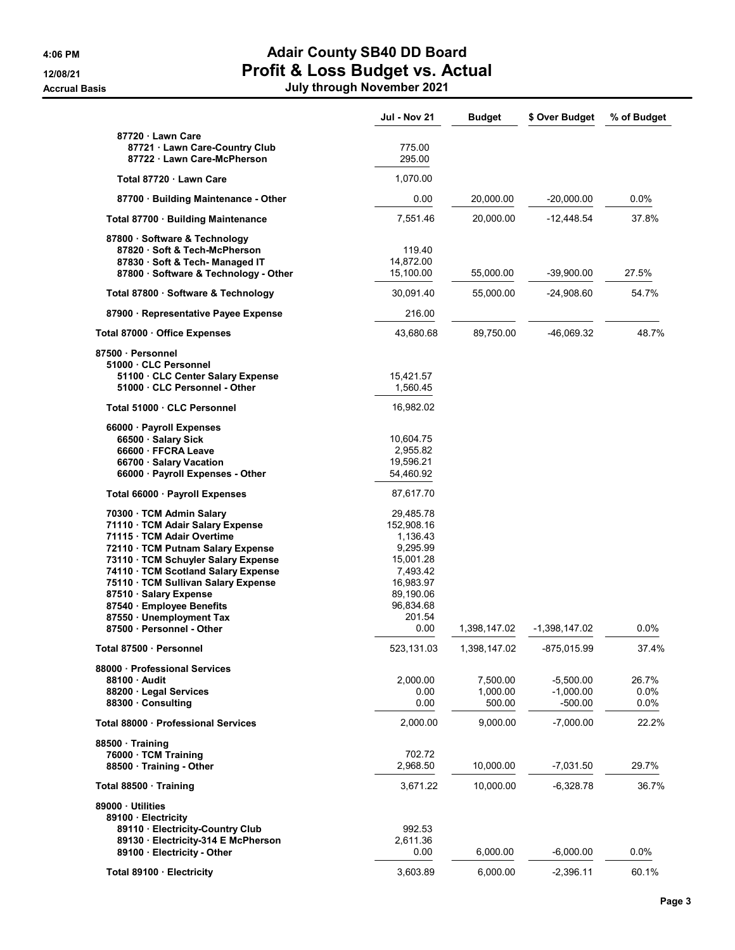## 4:06 PM Adair County SB40 DD Board 12/08/21 Profit & Loss Budget vs. Actual Accrual Basis July through November 2021

|                                                                                                                                                                                                               | Jul - Nov 21                                                             | <b>Budget</b>                  | \$ Over Budget                        | % of Budget              |
|---------------------------------------------------------------------------------------------------------------------------------------------------------------------------------------------------------------|--------------------------------------------------------------------------|--------------------------------|---------------------------------------|--------------------------|
| 87720 · Lawn Care<br>87721 Lawn Care-Country Club                                                                                                                                                             | 775.00                                                                   |                                |                                       |                          |
| 87722 · Lawn Care-McPherson                                                                                                                                                                                   | 295.00                                                                   |                                |                                       |                          |
| Total 87720 · Lawn Care                                                                                                                                                                                       | 1,070.00                                                                 |                                |                                       |                          |
| 87700 · Building Maintenance - Other                                                                                                                                                                          | 0.00                                                                     | 20,000.00                      | $-20,000.00$                          | 0.0%                     |
| Total 87700 · Building Maintenance                                                                                                                                                                            | 7,551.46                                                                 | 20,000.00                      | $-12,448.54$                          | 37.8%                    |
| 87800 · Software & Technology<br>87820 · Soft & Tech-McPherson<br>87830 Soft & Tech-Managed IT<br>87800 · Software & Technology - Other                                                                       | 119.40<br>14,872.00<br>15,100.00                                         | 55,000.00                      | $-39,900.00$                          | 27.5%                    |
| Total 87800 · Software & Technology                                                                                                                                                                           | 30,091.40                                                                | 55,000.00                      | -24,908.60                            | 54.7%                    |
| 87900 · Representative Payee Expense                                                                                                                                                                          | 216.00                                                                   |                                |                                       |                          |
| Total 87000 · Office Expenses                                                                                                                                                                                 | 43,680.68                                                                | 89,750.00                      | -46,069.32                            | 48.7%                    |
| 87500 · Personnel<br>51000 CLC Personnel                                                                                                                                                                      |                                                                          |                                |                                       |                          |
| 51100 CLC Center Salary Expense<br>51000 · CLC Personnel - Other                                                                                                                                              | 15,421.57<br>1,560.45                                                    |                                |                                       |                          |
| Total 51000 · CLC Personnel                                                                                                                                                                                   | 16,982.02                                                                |                                |                                       |                          |
| 66000 · Payroll Expenses<br>66500 · Salary Sick<br>66600 · FFCRA Leave<br>66700 · Salary Vacation<br>66000 · Payroll Expenses - Other                                                                         | 10,604.75<br>2,955.82<br>19,596.21<br>54,460.92                          |                                |                                       |                          |
| Total 66000 · Payroll Expenses                                                                                                                                                                                | 87,617.70                                                                |                                |                                       |                          |
| 70300 · TCM Admin Salary<br>71110 · TCM Adair Salary Expense<br>71115 · TCM Adair Overtime<br>72110 · TCM Putnam Salary Expense<br>73110 · TCM Schuyler Salary Expense<br>74110 · TCM Scotland Salary Expense | 29,485.78<br>152,908.16<br>1,136.43<br>9,295.99<br>15,001.28<br>7,493.42 |                                |                                       |                          |
| 75110 · TCM Sullivan Salary Expense<br>87510 · Salary Expense<br>87540 · Employee Benefits<br>87550 · Unemployment Tax<br>87500 · Personnel - Other                                                           | 16,983.97<br>89,190.06<br>96,834.68<br>201.54<br>0.00                    | 1,398,147.02                   | -1,398,147.02                         | 0.0%                     |
| Total 87500 · Personnel                                                                                                                                                                                       | 523,131.03                                                               | 1,398,147.02                   | -875,015.99                           | 37.4%                    |
| 88000 Professional Services<br>88100 · Audit<br>88200 · Legal Services<br>88300 Consulting                                                                                                                    | 2,000.00<br>0.00<br>0.00                                                 | 7,500.00<br>1,000.00<br>500.00 | $-5,500.00$<br>$-1,000.00$<br>-500.00 | 26.7%<br>$0.0\%$<br>0.0% |
| Total 88000 · Professional Services                                                                                                                                                                           | 2,000.00                                                                 | 9,000.00                       | $-7,000.00$                           | 22.2%                    |
| 88500 Training<br>76000 · TCM Training<br>88500 Training - Other                                                                                                                                              | 702.72<br>2,968.50                                                       | 10,000.00                      | -7,031.50                             | 29.7%                    |
| Total 88500 Training                                                                                                                                                                                          | 3,671.22                                                                 | 10,000.00                      | $-6,328.78$                           | 36.7%                    |
| 89000 Utilities<br>89100 · Electricity<br>89110 · Electricity-Country Club<br>89130 Electricity-314 E McPherson                                                                                               | 992.53<br>2,611.36                                                       |                                |                                       |                          |
| 89100 Electricity - Other                                                                                                                                                                                     | 0.00                                                                     | 6,000.00                       | $-6,000.00$                           | 0.0%                     |
| Total 89100 · Electricity                                                                                                                                                                                     | 3,603.89                                                                 | 6,000.00                       | $-2,396.11$                           | 60.1%                    |